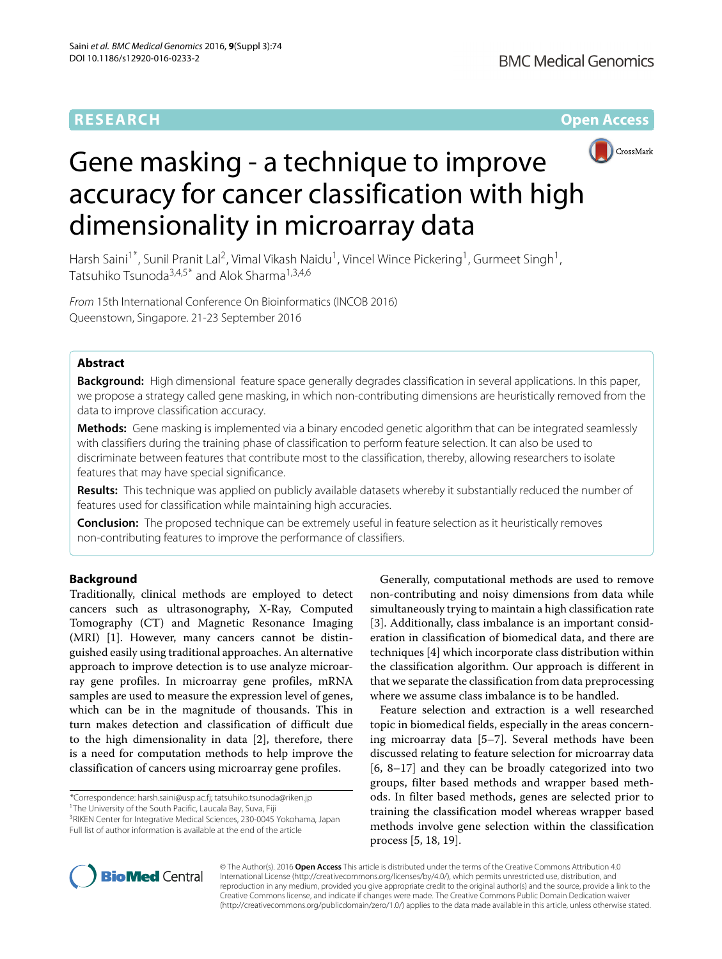# **RESEARCH Open Access**



# Gene masking - a technique to improve accuracy for cancer classification with high dimensionality in microarray data

Harsh Saini<sup>1\*</sup>, Sunil Pranit Lal<sup>2</sup>, Vimal Vikash Naidu<sup>1</sup>, Vincel Wince Pickering<sup>1</sup>, Gurmeet Singh<sup>1</sup>, Tatsuhiko Tsunoda<sup>3,4,5\*</sup> and Alok Sharma<sup>1,3,4,6</sup>

From 15th International Conference On Bioinformatics (INCOB 2016) Queenstown, Singapore. 21-23 September 2016

## **Abstract**

**Background:** High dimensional feature space generally degrades classification in several applications. In this paper, we propose a strategy called gene masking, in which non-contributing dimensions are heuristically removed from the data to improve classification accuracy.

**Methods:** Gene masking is implemented via a binary encoded genetic algorithm that can be integrated seamlessly with classifiers during the training phase of classification to perform feature selection. It can also be used to discriminate between features that contribute most to the classification, thereby, allowing researchers to isolate features that may have special significance.

**Results:** This technique was applied on publicly available datasets whereby it substantially reduced the number of features used for classification while maintaining high accuracies.

**Conclusion:** The proposed technique can be extremely useful in feature selection as it heuristically removes non-contributing features to improve the performance of classifiers.

## **Background**

Traditionally, clinical methods are employed to detect cancers such as ultrasonography, X-Ray, Computed Tomography (CT) and Magnetic Resonance Imaging (MRI) [\[1\]](#page-7-0). However, many cancers cannot be distinguished easily using traditional approaches. An alternative approach to improve detection is to use analyze microarray gene profiles. In microarray gene profiles, mRNA samples are used to measure the expression level of genes, which can be in the magnitude of thousands. This in turn makes detection and classification of difficult due to the high dimensionality in data [\[2\]](#page-7-1), therefore, there is a need for computation methods to help improve the classification of cancers using microarray gene profiles.

\*Correspondence: [harsh.saini@usp.ac.fj;](mailto: harsh.saini@usp.ac.fj) [tatsuhiko.tsunoda@riken.jp](mailto: tatsuhiko.tsunoda@riken.jp)

<sup>1</sup>The University of the South Pacific, Laucala Bay, Suva, Fiji

<sup>3</sup>RIKEN Center for Integrative Medical Sciences, 230-0045 Yokohama, Japan Full list of author information is available at the end of the article

Generally, computational methods are used to remove non-contributing and noisy dimensions from data while simultaneously trying to maintain a high classification rate [\[3\]](#page-7-2). Additionally, class imbalance is an important consideration in classification of biomedical data, and there are techniques [\[4\]](#page-7-3) which incorporate class distribution within the classification algorithm. Our approach is different in that we separate the classification from data preprocessing where we assume class imbalance is to be handled.

Feature selection and extraction is a well researched topic in biomedical fields, especially in the areas concerning microarray data [\[5–](#page-7-4)[7\]](#page-7-5). Several methods have been discussed relating to feature selection for microarray data [\[6,](#page-7-6) [8](#page-7-7)[–17\]](#page-8-0) and they can be broadly categorized into two groups, filter based methods and wrapper based methods. In filter based methods, genes are selected prior to training the classification model whereas wrapper based methods involve gene selection within the classification process [\[5,](#page-7-4) [18,](#page-8-1) [19\]](#page-8-2).



© The Author(s). 2016 **Open Access** This article is distributed under the terms of the Creative Commons Attribution 4.0 International License [\(http://creativecommons.org/licenses/by/4.0/\)](http://creativecommons.org/licenses/by/4.0/), which permits unrestricted use, distribution, and reproduction in any medium, provided you give appropriate credit to the original author(s) and the source, provide a link to the Creative Commons license, and indicate if changes were made. The Creative Commons Public Domain Dedication waiver [\(http://creativecommons.org/publicdomain/zero/1.0/\)](http://creativecommons.org/publicdomain/zero/1.0/) applies to the data made available in this article, unless otherwise stated.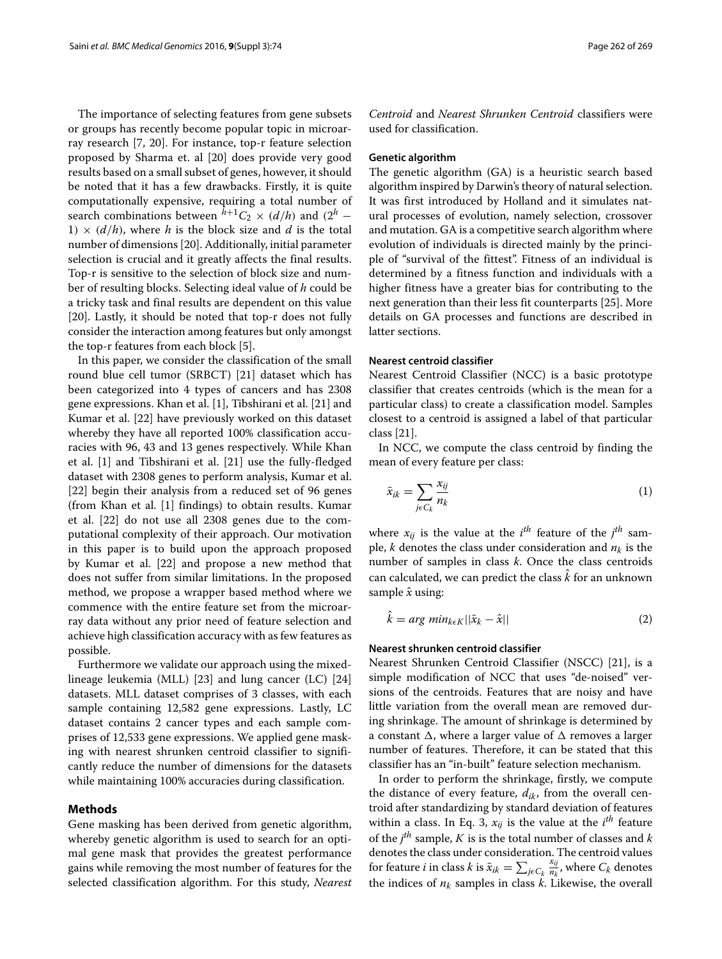The importance of selecting features from gene subsets or groups has recently become popular topic in microarray research [\[7,](#page-7-5) [20\]](#page-8-3). For instance, top-r feature selection proposed by Sharma et. al [\[20\]](#page-8-3) does provide very good results based on a small subset of genes, however, it should be noted that it has a few drawbacks. Firstly, it is quite computationally expensive, requiring a total number of search combinations between  $h+1C_2 \times (d/h)$  and  $(2^h -$ 1)  $\times$  (*d*/*h*), where *h* is the block size and *d* is the total number of dimensions [\[20\]](#page-8-3). Additionally, initial parameter selection is crucial and it greatly affects the final results. Top-r is sensitive to the selection of block size and number of resulting blocks. Selecting ideal value of *h* could be a tricky task and final results are dependent on this value [\[20\]](#page-8-3). Lastly, it should be noted that top-r does not fully consider the interaction among features but only amongst the top-r features from each block [\[5\]](#page-7-4).

In this paper, we consider the classification of the small round blue cell tumor (SRBCT) [\[21\]](#page-8-4) dataset which has been categorized into 4 types of cancers and has 2308 gene expressions. Khan et al. [\[1\]](#page-7-0), Tibshirani et al. [\[21\]](#page-8-4) and Kumar et al. [\[22\]](#page-8-5) have previously worked on this dataset whereby they have all reported 100% classification accuracies with 96, 43 and 13 genes respectively. While Khan et al. [\[1\]](#page-7-0) and Tibshirani et al. [\[21\]](#page-8-4) use the fully-fledged dataset with 2308 genes to perform analysis, Kumar et al. [\[22\]](#page-8-5) begin their analysis from a reduced set of 96 genes (from Khan et al. [\[1\]](#page-7-0) findings) to obtain results. Kumar et al. [\[22\]](#page-8-5) do not use all 2308 genes due to the computational complexity of their approach. Our motivation in this paper is to build upon the approach proposed by Kumar et al. [\[22\]](#page-8-5) and propose a new method that does not suffer from similar limitations. In the proposed method, we propose a wrapper based method where we commence with the entire feature set from the microarray data without any prior need of feature selection and achieve high classification accuracy with as few features as possible.

Furthermore we validate our approach using the mixedlineage leukemia (MLL) [\[23\]](#page-8-6) and lung cancer (LC) [\[24\]](#page-8-7) datasets. MLL dataset comprises of 3 classes, with each sample containing 12,582 gene expressions. Lastly, LC dataset contains 2 cancer types and each sample comprises of 12,533 gene expressions. We applied gene masking with nearest shrunken centroid classifier to significantly reduce the number of dimensions for the datasets while maintaining 100% accuracies during classification.

### **Methods**

Gene masking has been derived from genetic algorithm, whereby genetic algorithm is used to search for an optimal gene mask that provides the greatest performance gains while removing the most number of features for the selected classification algorithm. For this study, *Nearest*

*Centroid* and *Nearest Shrunken Centroid* classifiers were used for classification.

## **Genetic algorithm**

The genetic algorithm (GA) is a heuristic search based algorithm inspired by Darwin's theory of natural selection. It was first introduced by Holland and it simulates natural processes of evolution, namely selection, crossover and mutation. GA is a competitive search algorithm where evolution of individuals is directed mainly by the principle of "survival of the fittest". Fitness of an individual is determined by a fitness function and individuals with a higher fitness have a greater bias for contributing to the next generation than their less fit counterparts [\[25\]](#page-8-8). More details on GA processes and functions are described in latter sections.

### **Nearest centroid classifier**

Nearest Centroid Classifier (NCC) is a basic prototype classifier that creates centroids (which is the mean for a particular class) to create a classification model. Samples closest to a centroid is assigned a label of that particular class [\[21\]](#page-8-4).

In NCC, we compute the class centroid by finding the mean of every feature per class:

$$
\bar{x}_{ik} = \sum_{j \in C_k} \frac{x_{ij}}{n_k} \tag{1}
$$

where  $x_{ij}$  is the value at the  $i^{th}$  feature of the  $j^{th}$  sample,  $k$  denotes the class under consideration and  $n_k$  is the number of samples in class *k*. Once the class centroids can calculated, we can predict the class  $k$  for an unknown sample  $\hat{x}$  using:

<span id="page-1-0"></span>
$$
\hat{k} = arg \ min_{k \in K} ||\bar{x}_k - \hat{x}|| \qquad (2)
$$

#### **Nearest shrunken centroid classifier**

Nearest Shrunken Centroid Classifier (NSCC) [\[21\]](#page-8-4), is a simple modification of NCC that uses "de-noised" versions of the centroids. Features that are noisy and have little variation from the overall mean are removed during shrinkage. The amount of shrinkage is determined by a constant  $\Delta$ , where a larger value of  $\Delta$  removes a larger number of features. Therefore, it can be stated that this classifier has an "in-built" feature selection mechanism.

In order to perform the shrinkage, firstly, we compute the distance of every feature,  $d_{ik}$ , from the overall centroid after standardizing by standard deviation of features within a class. In Eq. [3,](#page-2-0)  $x_{ij}$  is the value at the  $i^{th}$  feature of the *j th* sample, *K* is is the total number of classes and *k* denotes the class under consideration. The centroid values for feature *i* in class  $k$  is  $\bar{x}_{ik} = \sum_{j \in C_k}$ *xij*  $\frac{\lambda_{ij}}{n_k}$ , where  $C_k$  denotes the indices of  $n_k$  samples in class  $k$ . Likewise, the overall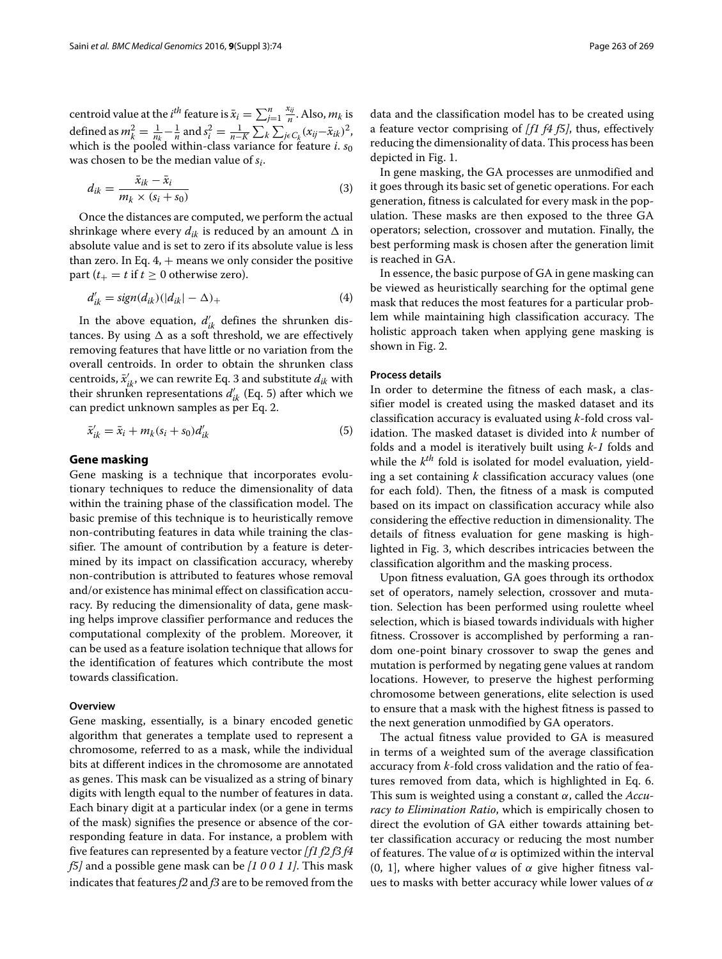centroid value at the *i*<sup>th</sup> feature is  $\bar{x}_i = \sum_{j=1}^n$  $\frac{x_{ij}}{n}$ . Also,  $m_k$  is defined as  $m_k^2 = \frac{1}{n_k} - \frac{1}{n}$  and  $s_i^2 = \frac{1}{n-K} \sum_k \sum_{j \in C_k} (x_{ij} - \bar{x}_{ik})^2$ , which is the pooled within-class variance for feature *i*. *s*<sup>0</sup> was chosen to be the median value of *si*.

$$
d_{ik} = \frac{\bar{x}_{ik} - \bar{x}_i}{m_k \times (s_i + s_0)}
$$
(3)

Once the distances are computed, we perform the actual shrinkage where every  $d_{ik}$  is reduced by an amount  $\Delta$  in absolute value and is set to zero if its absolute value is less than zero. In Eq.  $4$ ,  $+$  means we only consider the positive part ( $t_+ = t$  if  $t \geq 0$  otherwise zero).

$$
d'_{ik} = sign(d_{ik})(|d_{ik}| - \Delta)_+ \tag{4}
$$

In the above equation,  $d'_{ik}$  defines the shrunken distances. By using  $\Delta$  as a soft threshold, we are effectively removing features that have little or no variation from the overall centroids. In order to obtain the shrunken class centroids,  $\bar{x}'_{ik}$ , we can rewrite Eq. [3](#page-2-0) and substitute  $d_{ik}$  with their shrunken representations  $d'_{ik}$  (Eq. [5\)](#page-2-2) after which we can predict unknown samples as per Eq. [2.](#page-1-0)

$$
\bar{x}'_{ik} = \bar{x}_i + m_k(s_i + s_0)d'_{ik}
$$
\n<sup>(5)</sup>

#### **Gene masking**

Gene masking is a technique that incorporates evolutionary techniques to reduce the dimensionality of data within the training phase of the classification model. The basic premise of this technique is to heuristically remove non-contributing features in data while training the classifier. The amount of contribution by a feature is determined by its impact on classification accuracy, whereby non-contribution is attributed to features whose removal and/or existence has minimal effect on classification accuracy. By reducing the dimensionality of data, gene masking helps improve classifier performance and reduces the computational complexity of the problem. Moreover, it can be used as a feature isolation technique that allows for the identification of features which contribute the most towards classification.

## **Overview**

Gene masking, essentially, is a binary encoded genetic algorithm that generates a template used to represent a chromosome, referred to as a mask, while the individual bits at different indices in the chromosome are annotated as genes. This mask can be visualized as a string of binary digits with length equal to the number of features in data. Each binary digit at a particular index (or a gene in terms of the mask) signifies the presence or absence of the corresponding feature in data. For instance, a problem with five features can represented by a feature vector *[f1 f2 f3 f4 f5]* and a possible gene mask can be *[1 0 0 1 1]*. This mask indicates that features*f2* and *f3* are to be removed from the

data and the classification model has to be created using a feature vector comprising of *[f1 f4 f5]*, thus, effectively reducing the dimensionality of data. This process has been depicted in Fig. [1.](#page-3-0)

<span id="page-2-0"></span>In gene masking, the GA processes are unmodified and it goes through its basic set of genetic operations. For each generation, fitness is calculated for every mask in the population. These masks are then exposed to the three GA operators; selection, crossover and mutation. Finally, the best performing mask is chosen after the generation limit is reached in GA.

<span id="page-2-1"></span>In essence, the basic purpose of GA in gene masking can be viewed as heuristically searching for the optimal gene mask that reduces the most features for a particular problem while maintaining high classification accuracy. The holistic approach taken when applying gene masking is shown in Fig. [2.](#page-3-1)

## **Process details**

<span id="page-2-2"></span>In order to determine the fitness of each mask, a classifier model is created using the masked dataset and its classification accuracy is evaluated using *k*-fold cross validation. The masked dataset is divided into *k* number of folds and a model is iteratively built using *k-1* folds and while the *kth* fold is isolated for model evaluation, yielding a set containing *k* classification accuracy values (one for each fold). Then, the fitness of a mask is computed based on its impact on classification accuracy while also considering the effective reduction in dimensionality. The details of fitness evaluation for gene masking is highlighted in Fig. [3,](#page-4-0) which describes intricacies between the classification algorithm and the masking process.

Upon fitness evaluation, GA goes through its orthodox set of operators, namely selection, crossover and mutation. Selection has been performed using roulette wheel selection, which is biased towards individuals with higher fitness. Crossover is accomplished by performing a random one-point binary crossover to swap the genes and mutation is performed by negating gene values at random locations. However, to preserve the highest performing chromosome between generations, elite selection is used to ensure that a mask with the highest fitness is passed to the next generation unmodified by GA operators.

The actual fitness value provided to GA is measured in terms of a weighted sum of the average classification accuracy from *k*-fold cross validation and the ratio of features removed from data, which is highlighted in Eq. [6.](#page-3-2) This sum is weighted using a constant α, called the *Accuracy to Elimination Ratio*, which is empirically chosen to direct the evolution of GA either towards attaining better classification accuracy or reducing the most number of features. The value of  $\alpha$  is optimized within the interval (0, 1), where higher values of  $\alpha$  give higher fitness values to masks with better accuracy while lower values of  $\alpha$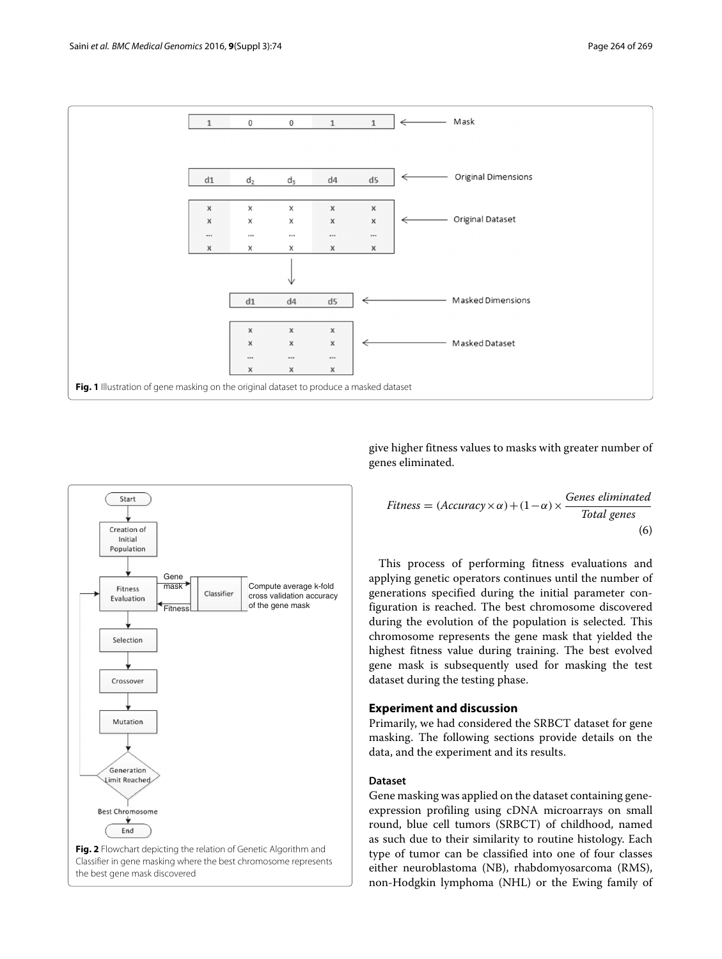

<span id="page-3-0"></span>

give higher fitness values to masks with greater number of genes eliminated.

<span id="page-3-2"></span>
$$
Fitness = (Accuracy \times \alpha) + (1 - \alpha) \times \frac{Genes \ eliminated}{Total \ genes}
$$
\n(6)

This process of performing fitness evaluations and applying genetic operators continues until the number of generations specified during the initial parameter configuration is reached. The best chromosome discovered during the evolution of the population is selected. This chromosome represents the gene mask that yielded the highest fitness value during training. The best evolved gene mask is subsequently used for masking the test dataset during the testing phase.

## **Experiment and discussion**

Primarily, we had considered the SRBCT dataset for gene masking. The following sections provide details on the data, and the experiment and its results.

## **Dataset**

<span id="page-3-1"></span>Gene masking was applied on the dataset containing geneexpression profiling using cDNA microarrays on small round, blue cell tumors (SRBCT) of childhood, named as such due to their similarity to routine histology. Each type of tumor can be classified into one of four classes either neuroblastoma (NB), rhabdomyosarcoma (RMS), non-Hodgkin lymphoma (NHL) or the Ewing family of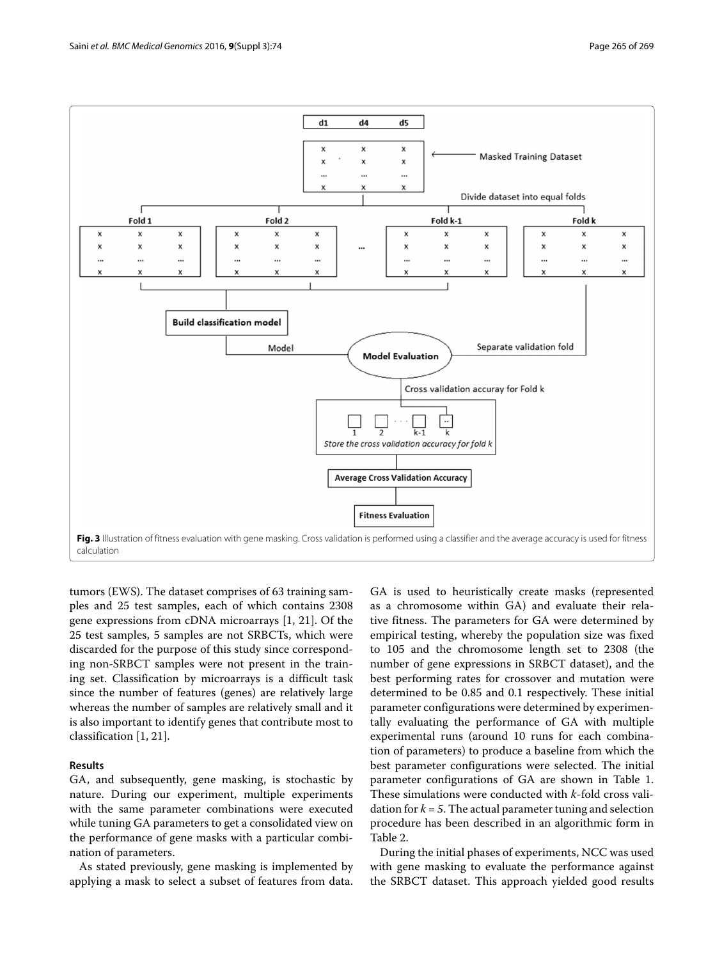

<span id="page-4-0"></span>tumors (EWS). The dataset comprises of 63 training samples and 25 test samples, each of which contains 2308 gene expressions from cDNA microarrays [\[1,](#page-7-0) [21\]](#page-8-4). Of the 25 test samples, 5 samples are not SRBCTs, which were discarded for the purpose of this study since corresponding non-SRBCT samples were not present in the training set. Classification by microarrays is a difficult task since the number of features (genes) are relatively large whereas the number of samples are relatively small and it is also important to identify genes that contribute most to classification [\[1,](#page-7-0) [21\]](#page-8-4).

## **Results**

GA, and subsequently, gene masking, is stochastic by nature. During our experiment, multiple experiments with the same parameter combinations were executed while tuning GA parameters to get a consolidated view on the performance of gene masks with a particular combination of parameters.

As stated previously, gene masking is implemented by applying a mask to select a subset of features from data. GA is used to heuristically create masks (represented as a chromosome within GA) and evaluate their relative fitness. The parameters for GA were determined by empirical testing, whereby the population size was fixed to 105 and the chromosome length set to 2308 (the number of gene expressions in SRBCT dataset), and the best performing rates for crossover and mutation were determined to be 0.85 and 0.1 respectively. These initial parameter configurations were determined by experimentally evaluating the performance of GA with multiple experimental runs (around 10 runs for each combination of parameters) to produce a baseline from which the best parameter configurations were selected. The initial parameter configurations of GA are shown in Table [1.](#page-5-0) These simulations were conducted with *k*-fold cross validation for  $k = 5$ . The actual parameter tuning and selection procedure has been described in an algorithmic form in Table [2.](#page-5-1)

During the initial phases of experiments, NCC was used with gene masking to evaluate the performance against the SRBCT dataset. This approach yielded good results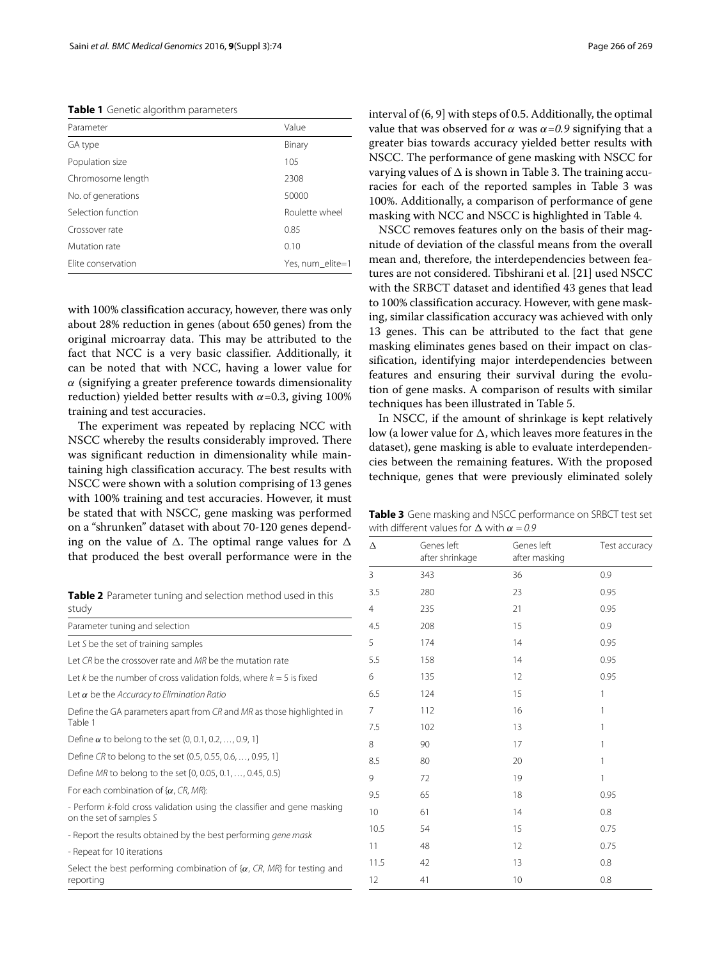<span id="page-5-0"></span>**Table 1** Genetic algorithm parameters

| Parameter          | Value            |
|--------------------|------------------|
| GA type            | Binary           |
| Population size    | 105              |
| Chromosome length  | 2308             |
| No. of generations | 50000            |
| Selection function | Roulette wheel   |
| Crossover rate     | 0.85             |
| Mutation rate      | 0.10             |
| Elite conservation | Yes, num elite=1 |

with 100% classification accuracy, however, there was only about 28% reduction in genes (about 650 genes) from the original microarray data. This may be attributed to the fact that NCC is a very basic classifier. Additionally, it can be noted that with NCC, having a lower value for  $\alpha$  (signifying a greater preference towards dimensionality reduction) yielded better results with  $\alpha$ =0.3, giving 100% training and test accuracies.

The experiment was repeated by replacing NCC with NSCC whereby the results considerably improved. There was significant reduction in dimensionality while maintaining high classification accuracy. The best results with NSCC were shown with a solution comprising of 13 genes with 100% training and test accuracies. However, it must be stated that with NSCC, gene masking was performed on a "shrunken" dataset with about 70-120 genes depending on the value of  $\Delta$ . The optimal range values for  $\Delta$ that produced the best overall performance were in the

<span id="page-5-1"></span>**Table 2** Parameter tuning and selection method used in this study

| Parameter tuning and selection                                                                     |
|----------------------------------------------------------------------------------------------------|
| Let S be the set of training samples                                                               |
| Let CR be the crossover rate and MR be the mutation rate                                           |
| Let k be the number of cross validation folds, where $k = 5$ is fixed                              |
| Let $\alpha$ be the Accuracy to Elimination Ratio                                                  |
| Define the GA parameters apart from CR and MR as those highlighted in<br>Table 1                   |
| Define $\alpha$ to belong to the set (0, 0.1, 0.2, , 0.9, 1]                                       |
| Define CR to belong to the set (0.5, 0.55, 0.6, , 0.95, 1]                                         |
| Define MR to belong to the set [0, 0.05, 0.1, , 0.45, 0.5)                                         |
| For each combination of $\{\alpha, CR, MR\}$ :                                                     |
| - Perform k-fold cross validation using the classifier and gene masking<br>on the set of samples S |
| - Report the results obtained by the best performing <i>gene mask</i>                              |
| - Repeat for 10 iterations                                                                         |
| Select the best performing combination of $\{\alpha, CR, MR\}$ for testing and<br>reporting        |

interval of (6, 9] with steps of 0.5. Additionally, the optimal value that was observed for  $\alpha$  was  $\alpha$ =0.9 signifying that a greater bias towards accuracy yielded better results with NSCC. The performance of gene masking with NSCC for varying values of  $\Delta$  is shown in Table [3.](#page-5-2) The training accuracies for each of the reported samples in Table [3](#page-5-2) was 100%. Additionally, a comparison of performance of gene masking with NCC and NSCC is highlighted in Table [4.](#page-6-0)

NSCC removes features only on the basis of their magnitude of deviation of the classful means from the overall mean and, therefore, the interdependencies between features are not considered. Tibshirani et al. [\[21\]](#page-8-4) used NSCC with the SRBCT dataset and identified 43 genes that lead to 100% classification accuracy. However, with gene masking, similar classification accuracy was achieved with only 13 genes. This can be attributed to the fact that gene masking eliminates genes based on their impact on classification, identifying major interdependencies between features and ensuring their survival during the evolution of gene masks. A comparison of results with similar techniques has been illustrated in Table [5.](#page-6-1)

In NSCC, if the amount of shrinkage is kept relatively low (a lower value for  $\Delta$ , which leaves more features in the dataset), gene masking is able to evaluate interdependencies between the remaining features. With the proposed technique, genes that were previously eliminated solely

<span id="page-5-2"></span>**Table 3** Gene masking and NSCC performance on SRBCT test set with different values for  $\triangle$  with  $\alpha = 0.9$ 

| Δ              | Genes left<br>after shrinkage | Genes left<br>after masking | Test accuracy |
|----------------|-------------------------------|-----------------------------|---------------|
| 3              | 343                           | 36                          | 0.9           |
| 3.5            | 280                           | 23                          | 0.95          |
| $\overline{4}$ | 235                           | 21                          | 0.95          |
| 4.5            | 208                           | 15                          | 0.9           |
| 5              | 174                           | 14                          | 0.95          |
| 5.5            | 158                           | 14                          | 0.95          |
| 6              | 135                           | 12                          | 0.95          |
| 6.5            | 124                           | 15                          | 1             |
| $\overline{7}$ | 112                           | 16                          | 1             |
| 7.5            | 102                           | 13                          | 1             |
| 8              | 90                            | 17                          | 1             |
| 8.5            | 80                            | 20                          | 1             |
| 9              | 72                            | 19                          | 1             |
| 9.5            | 65                            | 18                          | 0.95          |
| 10             | 61                            | 14                          | 0.8           |
| 10.5           | 54                            | 15                          | 0.75          |
| 11             | 48                            | 12                          | 0.75          |
| 11.5           | 42                            | 13                          | 0.8           |
| 12             | 41                            | 10                          | 0.8           |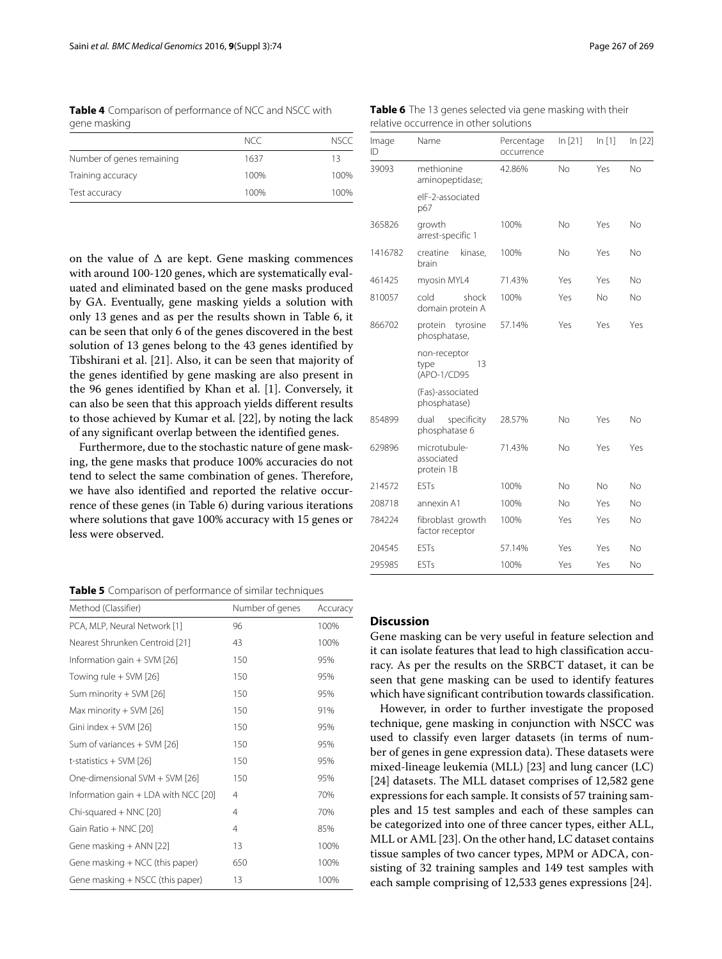<span id="page-6-0"></span>**Table 4** Comparison of performance of NCC and NSCC with gene masking

|                           | NCC  | <b>NSCC</b> |
|---------------------------|------|-------------|
| Number of genes remaining | 1637 | 13          |
| Training accuracy         | 100% | 100%        |
| Test accuracy             | 100% | 100%        |

on the value of  $\Delta$  are kept. Gene masking commences with around 100-120 genes, which are systematically evaluated and eliminated based on the gene masks produced by GA. Eventually, gene masking yields a solution with only 13 genes and as per the results shown in Table [6,](#page-6-2) it can be seen that only 6 of the genes discovered in the best solution of 13 genes belong to the 43 genes identified by Tibshirani et al. [\[21\]](#page-8-4). Also, it can be seen that majority of the genes identified by gene masking are also present in the 96 genes identified by Khan et al. [\[1\]](#page-7-0). Conversely, it can also be seen that this approach yields different results to those achieved by Kumar et al. [\[22\]](#page-8-5), by noting the lack of any significant overlap between the identified genes.

Furthermore, due to the stochastic nature of gene masking, the gene masks that produce 100% accuracies do not tend to select the same combination of genes. Therefore, we have also identified and reported the relative occurrence of these genes (in Table [6\)](#page-6-2) during various iterations where solutions that gave 100% accuracy with 15 genes or less were observed.

**Table 5** Comparison of performance of similar techniques

<span id="page-6-1"></span>

| Method (Classifier)                    | Number of genes | Accuracy |
|----------------------------------------|-----------------|----------|
| PCA, MLP, Neural Network [1]           | 96              | 100%     |
| Nearest Shrunken Centroid [21]         | 43              | 100%     |
| Information gain $+$ SVM [26]          | 150             | 95%      |
| Towing rule + SVM [26]                 | 150             | 95%      |
| Sum minority + SVM [26]                | 150             | 95%      |
| Max minority + SVM [26]                | 150             | 91%      |
| Gini index + SVM [26]                  | 150             | 95%      |
| Sum of variances + SVM [26]            | 150             | 95%      |
| t-statistics $+$ SVM [26]              | 150             | 95%      |
| One-dimensional SVM + SVM [26]         | 150             | 95%      |
| Information gain $+$ LDA with NCC [20] | $\overline{4}$  | 70%      |
| Chi-squared + NNC [20]                 | 4               | 70%      |
| Gain Ratio + NNC [20]                  | 4               | 85%      |
| Gene masking + ANN [22]                | 13              | 100%     |
| Gene masking + NCC (this paper)        | 650             | 100%     |
| Gene masking + NSCC (this paper)       | 13              | 100%     |

<span id="page-6-2"></span>

| <b>Table 6</b> The 13 genes selected via gene masking with their |
|------------------------------------------------------------------|
| relative occurrence in other solutions                           |

| Image<br>ID | Name                                      | Percentage<br>occurrence | ln[21] | $\ln[1]$  | In [22] |
|-------------|-------------------------------------------|--------------------------|--------|-----------|---------|
| 39093       | methionine<br>aminopeptidase;             | 42.86%                   | No     | Yes       | No      |
|             | elF-2-associated<br>p67                   |                          |        |           |         |
| 365826      | growth<br>arrest-specific 1               | 100%                     | No     | Yes       | No      |
| 1416782     | creatine<br>kinase,<br>brain              | 100%                     | No     | Yes       | No      |
| 461425      | myosin MYL4                               | 71.43%                   | Yes    | Yes       | No      |
| 810057      | cold<br>shock<br>domain protein A         | 100%                     | Yes    | <b>No</b> | No      |
| 866702      | protein tyrosine<br>phosphatase,          | 57.14%                   | Yes    | Yes       | Yes     |
|             | non-receptor<br>13<br>type<br>(APO-1/CD95 |                          |        |           |         |
|             | (Fas)-associated<br>phosphatase)          |                          |        |           |         |
| 854899      | dual<br>specificity<br>phosphatase 6      | 28.57%                   | Nο     | Yes       | Nο      |
| 629896      | microtubule-<br>associated<br>protein 1B  | 71.43%                   | No     | Yes       | Yes     |
| 214572      | <b>ESTs</b>                               | 100%                     | No     | <b>No</b> | No      |
| 208718      | annexin A1                                | 100%                     | No     | Yes       | No      |
| 784224      | fibroblast growth<br>factor receptor      | 100%                     | Yes    | Yes       | No      |
| 204545      | <b>FSTs</b>                               | 57.14%                   | Yes    | Yes       | No      |
| 295985      | <b>ESTs</b>                               | 100%                     | Yes    | Yes       | No      |

## **Discussion**

Gene masking can be very useful in feature selection and it can isolate features that lead to high classification accuracy. As per the results on the SRBCT dataset, it can be seen that gene masking can be used to identify features which have significant contribution towards classification.

However, in order to further investigate the proposed technique, gene masking in conjunction with NSCC was used to classify even larger datasets (in terms of number of genes in gene expression data). These datasets were mixed-lineage leukemia (MLL) [\[23\]](#page-8-6) and lung cancer (LC) [\[24\]](#page-8-7) datasets. The MLL dataset comprises of 12,582 gene expressions for each sample. It consists of 57 training samples and 15 test samples and each of these samples can be categorized into one of three cancer types, either ALL, MLL or AML [\[23\]](#page-8-6). On the other hand, LC dataset contains tissue samples of two cancer types, MPM or ADCA, consisting of 32 training samples and 149 test samples with each sample comprising of 12,533 genes expressions [\[24\]](#page-8-7).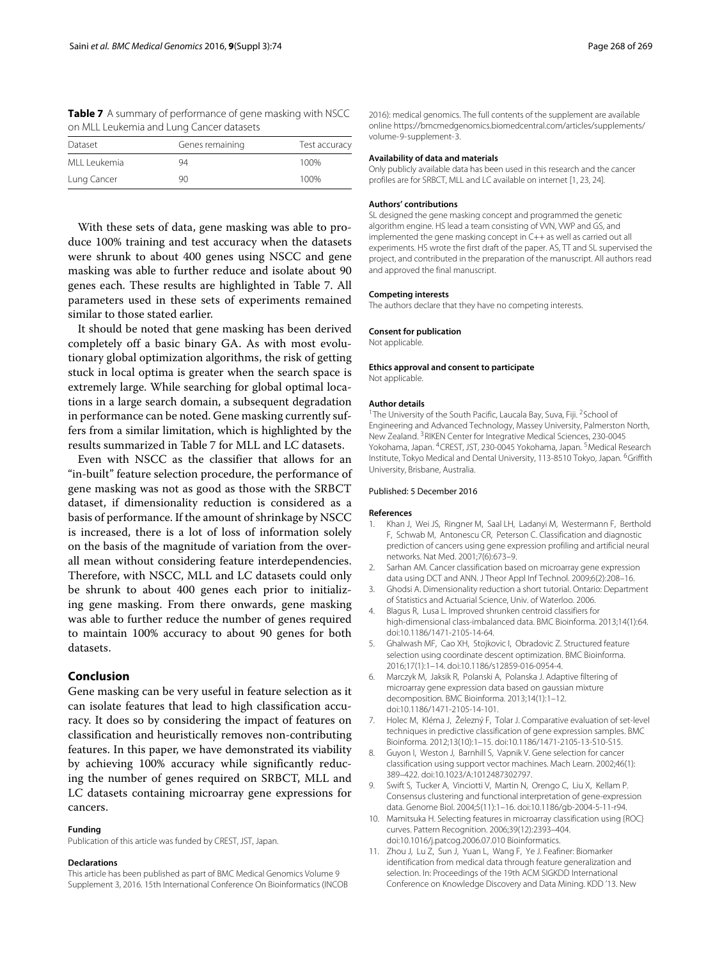<span id="page-7-8"></span>**Table 7** A summary of performance of gene masking with NSCC on MLL Leukemia and Lung Cancer datasets

| Dataset      | Genes remaining | Test accuracy |
|--------------|-----------------|---------------|
| MLL Leukemia | 94              | 100%          |
| Lung Cancer  | 90              | 100%          |

With these sets of data, gene masking was able to produce 100% training and test accuracy when the datasets were shrunk to about 400 genes using NSCC and gene masking was able to further reduce and isolate about 90 genes each. These results are highlighted in Table [7.](#page-7-8) All parameters used in these sets of experiments remained similar to those stated earlier.

It should be noted that gene masking has been derived completely off a basic binary GA. As with most evolutionary global optimization algorithms, the risk of getting stuck in local optima is greater when the search space is extremely large. While searching for global optimal locations in a large search domain, a subsequent degradation in performance can be noted. Gene masking currently suffers from a similar limitation, which is highlighted by the results summarized in Table [7](#page-7-8) for MLL and LC datasets.

Even with NSCC as the classifier that allows for an "in-built" feature selection procedure, the performance of gene masking was not as good as those with the SRBCT dataset, if dimensionality reduction is considered as a basis of performance. If the amount of shrinkage by NSCC is increased, there is a lot of loss of information solely on the basis of the magnitude of variation from the overall mean without considering feature interdependencies. Therefore, with NSCC, MLL and LC datasets could only be shrunk to about 400 genes each prior to initializing gene masking. From there onwards, gene masking was able to further reduce the number of genes required to maintain 100% accuracy to about 90 genes for both datasets.

#### **Conclusion**

Gene masking can be very useful in feature selection as it can isolate features that lead to high classification accuracy. It does so by considering the impact of features on classification and heuristically removes non-contributing features. In this paper, we have demonstrated its viability by achieving 100% accuracy while significantly reducing the number of genes required on SRBCT, MLL and LC datasets containing microarray gene expressions for cancers.

#### **Funding**

Publication of this article was funded by CREST, JST, Japan.

#### **Declarations**

This article has been published as part of BMC Medical Genomics Volume 9 Supplement 3, 2016. 15th International Conference On Bioinformatics (INCOB 2016): medical genomics. The full contents of the supplement are available online [https://bmcmedgenomics.biomedcentral.com/articles/supplements/](https://bmcmedgenomics.biomedcentral.com/articles/supplements/volume-9-supplement-3) [volume-9-supplement-3.](https://bmcmedgenomics.biomedcentral.com/articles/supplements/volume-9-supplement-3)

#### **Availability of data and materials**

Only publicly available data has been used in this research and the cancer profiles are for SRBCT, MLL and LC available on internet [\[1,](#page-7-0) [23,](#page-8-6) [24\]](#page-8-7).

#### **Authors' contributions**

SL designed the gene masking concept and programmed the genetic algorithm engine. HS lead a team consisting of VVN, VWP and GS, and implemented the gene masking concept in C++ as well as carried out all experiments. HS wrote the first draft of the paper. AS, TT and SL supervised the project, and contributed in the preparation of the manuscript. All authors read and approved the final manuscript.

#### **Competing interests**

The authors declare that they have no competing interests.

#### **Consent for publication**

Not applicable.

#### **Ethics approval and consent to participate**

Not applicable.

#### **Author details**

<sup>1</sup>The University of the South Pacific, Laucala Bay, Suva, Fiji. <sup>2</sup> School of Engineering and Advanced Technology, Massey University, Palmerston North, New Zealand. 3RIKEN Center for Integrative Medical Sciences, 230-0045 Yokohama, Japan. <sup>4</sup>CREST, JST, 230-0045 Yokohama, Japan. <sup>5</sup>Medical Research Institute, Tokyo Medical and Dental University, 113-8510 Tokyo, Japan. <sup>6</sup>Griffith University, Brisbane, Australia.

#### Published: 5 December 2016

#### **References**

- <span id="page-7-0"></span>1. Khan J, Wei JS, Ringner M, Saal LH, Ladanyi M, Westermann F, Berthold F, Schwab M, Antonescu CR, Peterson C. Classification and diagnostic prediction of cancers using gene expression profiling and artificial neural networks. Nat Med. 2001;7(6):673–9.
- <span id="page-7-1"></span>2. Sarhan AM. Cancer classification based on microarray gene expression data using DCT and ANN. J Theor Appl Inf Technol. 2009;6(2):208–16.
- <span id="page-7-2"></span>3. Ghodsi A. Dimensionality reduction a short tutorial. Ontario: Department of Statistics and Actuarial Science, Univ. of Waterloo. 2006.
- <span id="page-7-3"></span>4. Blagus R, Lusa L. Improved shrunken centroid classifiers for high-dimensional class-imbalanced data. BMC Bioinforma. 2013;14(1):64. doi[:10.1186/1471-2105-14-64.](http://dx.doi.org/10.1186/1471-2105-14-64)
- <span id="page-7-4"></span>5. Ghalwash MF, Cao XH, Stojkovic I, Obradovic Z. Structured feature selection using coordinate descent optimization. BMC Bioinforma. 2016;17(1):1–14. doi[:10.1186/s12859-016-0954-4.](http://dx.doi.org/10.1186/s12859-016-0954-4)
- <span id="page-7-6"></span>6. Marczyk M, Jaksik R, Polanski A, Polanska J. Adaptive filtering of microarray gene expression data based on gaussian mixture decomposition. BMC Bioinforma. 2013;14(1):1–12. doi[:10.1186/1471-2105-14-101.](http://dx.doi.org/10.1186/1471-2105-14-101)
- <span id="page-7-5"></span>7. Holec M, Kléma J, Železný F, Tolar J. Comparative evaluation of set-level techniques in predictive classification of gene expression samples. BMC Bioinforma. 2012;13(10):1–15. doi[:10.1186/1471-2105-13-S10-S15.](http://dx.doi.org/10.1186/1471-2105-13-S10-S15)
- <span id="page-7-7"></span>8. Guyon I, Weston J, Barnhill S, Vapnik V. Gene selection for cancer classification using support vector machines. Mach Learn. 2002;46(1): 389–422. do[i:10.1023/A:1012487302797.](http://dx.doi.org/10.1023/A:1012487302797)
- Swift S, Tucker A, Vinciotti V, Martin N, Orengo C, Liu X, Kellam P. Consensus clustering and functional interpretation of gene-expression data. Genome Biol. 2004;5(11):1–16. doi[:10.1186/gb-2004-5-11-r94.](http://dx.doi.org/10.1186/gb-2004-5-11-r94)
- 10. Mamitsuka H. Selecting features in microarray classification using {ROC} curves. Pattern Recognition. 2006;39(12):2393–404. doi[:10.1016/j.patcog.2006.07.010](http://dx.doi.org/10.1016/j.patcog.2006.07.010) Bioinformatics.
- 11. Zhou J, Lu Z, Sun J, Yuan L, Wang F, Ye J. Feafiner: Biomarker identification from medical data through feature generalization and selection. In: Proceedings of the 19th ACM SIGKDD International Conference on Knowledge Discovery and Data Mining. KDD '13. New